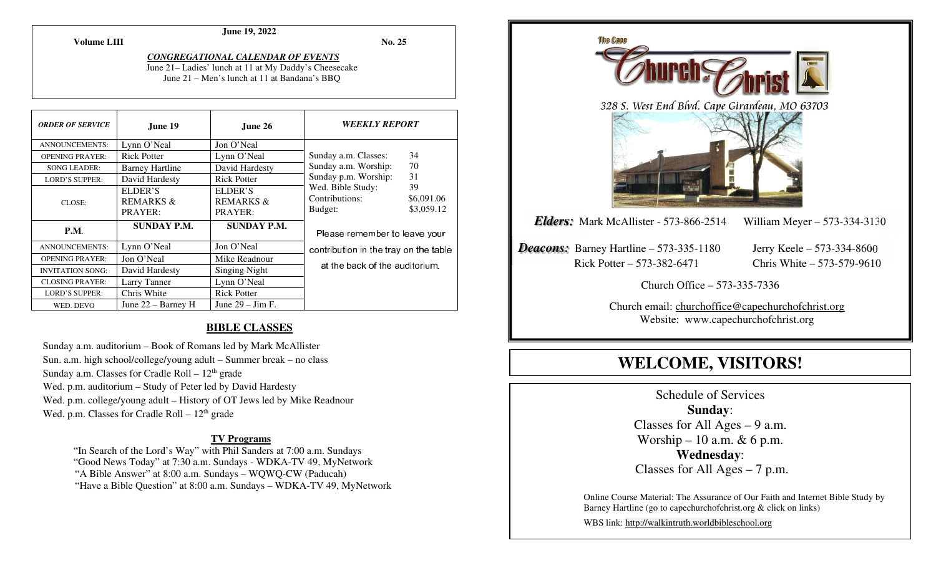**Volume LIII**

## **June 19, 2022**

**No. 25** 

# *CONGREGATIONAL CALENDAR OF EVENTS*

 June 21– Ladies' lunch at 11 at My Daddy's Cheesecake June 21 – Men's lunch at 11 at Bandana's BBQ

| <b>ORDER OF SERVICE</b> | June 19                                    | June $26$                                  | <i><b>WEEKLY REPORT</b></i>                                                      |
|-------------------------|--------------------------------------------|--------------------------------------------|----------------------------------------------------------------------------------|
| ANNOUNCEMENTS:          | Lynn O'Neal                                | Jon O'Neal                                 |                                                                                  |
| <b>OPENING PRAYER:</b>  | <b>Rick Potter</b>                         | Lynn O'Neal                                | 34<br>Sunday a.m. Classes:                                                       |
| <b>SONG LEADER:</b>     | <b>Barney Hartline</b>                     | David Hardesty                             | 70<br>Sunday a.m. Worship:                                                       |
| <b>LORD'S SUPPER:</b>   | David Hardesty                             | <b>Rick Potter</b>                         | 31<br>Sunday p.m. Worship:                                                       |
| CLOSE:                  | ELDER'S<br><b>REMARKS &amp;</b><br>PRAYER: | ELDER'S<br><b>REMARKS &amp;</b><br>PRAYER: | Wed. Bible Study:<br>39<br>Contributions:<br>\$6,091.06<br>\$3,059.12<br>Budget: |
| <b>P.M.</b>             | <b>SUNDAY P.M.</b>                         | <b>SUNDAY P.M.</b>                         | Please remember to leave your                                                    |
| ANNOUNCEMENTS:          | Lynn O'Neal                                | Jon O'Neal                                 | contribution in the tray on the table                                            |
| <b>OPENING PRAYER:</b>  | Jon O'Neal                                 | Mike Readnour                              |                                                                                  |
| <b>INVITATION SONG:</b> | David Hardesty                             | Singing Night                              | at the back of the auditorium.                                                   |
| <b>CLOSING PRAYER:</b>  | Larry Tanner                               | Lynn O'Neal                                |                                                                                  |
| <b>LORD'S SUPPER:</b>   | Chris White                                | <b>Rick Potter</b>                         |                                                                                  |
| WED. DEVO               | June $22 -$ Barney H                       | June $29 - \text{Jim F}$ .                 |                                                                                  |

## **BIBLE CLASSES**

Sunday a.m. auditorium – Book of Romans led by Mark McAllister Sun. a.m. high school/college/young adult – Summer break – no class Sunday a.m. Classes for Cradle Roll –  $12<sup>th</sup>$  grade Wed. p.m. auditorium – Study of Peter led by David Hardesty Wed. p.m. college/young adult – History of OT Jews led by Mike Readnour Wed. p.m. Classes for Cradle Roll –  $12<sup>th</sup>$  grade

## **TV Programs**

 "In Search of the Lord's Way" with Phil Sanders at 7:00 a.m. Sundays "Good News Today" at 7:30 a.m. Sundays - WDKA-TV 49, MyNetwork "A Bible Answer" at 8:00 a.m. Sundays – WQWQ-CW (Paducah) "Have a Bible Question" at 8:00 a.m. Sundays – WDKA-TV 49, MyNetwork



# **WELCOME, VISITORS!**

Schedule of Services **Sunday**: Classes for All Ages  $-9$  a.m. Worship – 10 a.m.  $& 6$  p.m. **Wednesday**: Classes for All Ages – 7 p.m.

Online Course Material: The Assurance of Our Faith and Internet Bible Study by Barney Hartline (go to capechurchofchrist.org & click on links)

WBS link: http://walkintruth.worldbibleschool.org